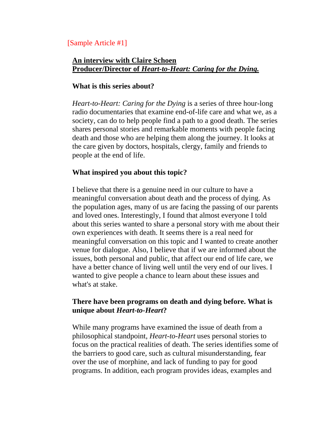# [Sample Article #1]

### **An interview with Claire Schoen Producer/Director of** *Heart-to-Heart: Caring for the Dying.*

# **What is this series about?**

*Heart-to-Heart: Caring for the Dying* is a series of three hour-long radio documentaries that examine end-of-life care and what we, as a society, can do to help people find a path to a good death. The series shares personal stories and remarkable moments with people facing death and those who are helping them along the journey. It looks at the care given by doctors, hospitals, clergy, family and friends to people at the end of life.

### **What inspired you about this topic?**

I believe that there is a genuine need in our culture to have a meaningful conversation about death and the process of dying. As the population ages, many of us are facing the passing of our parents and loved ones. Interestingly, I found that almost everyone I told about this series wanted to share a personal story with me about their own experiences with death. It seems there is a real need for meaningful conversation on this topic and I wanted to create another venue for dialogue. Also, I believe that if we are informed about the issues, both personal and public, that affect our end of life care, we have a better chance of living well until the very end of our lives. I wanted to give people a chance to learn about these issues and what's at stake.

# **There have been programs on death and dying before. What is unique about** *Heart-to-Heart***?**

While many programs have examined the issue of death from a philosophical standpoint, *Heart-to-Heart* uses personal stories to focus on the practical realities of death. The series identifies some of the barriers to good care, such as cultural misunderstanding, fear over the use of morphine, and lack of funding to pay for good programs. In addition, each program provides ideas, examples and